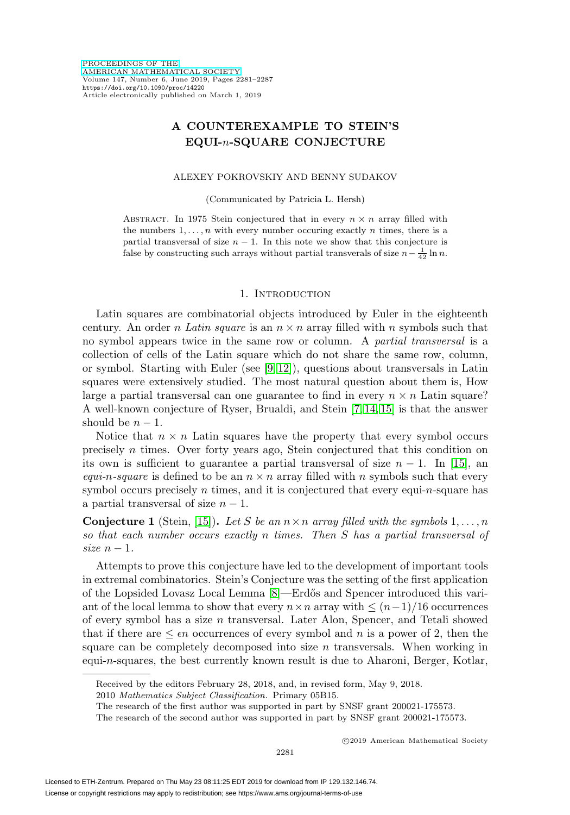# **A COUNTEREXAMPLE TO STEIN'S EQUI-**n**-SQUARE CONJECTURE**

### ALEXEY POKROVSKIY AND BENNY SUDAKOV

(Communicated by Patricia L. Hersh)

ABSTRACT. In 1975 Stein conjectured that in every  $n \times n$  array filled with the numbers  $1, \ldots, n$  with every number occuring exactly n times, there is a partial transversal of size  $n - 1$ . In this note we show that this conjecture is false by constructing such arrays without partial transverals of size  $n - \frac{1}{42} \ln n$ .

### 1. INTRODUCTION

Latin squares are combinatorial objects introduced by Euler in the eighteenth century. An order *n Latin square* is an  $n \times n$  array filled with *n* symbols such that no symbol appears twice in the same row or column. A partial transversal is a collection of cells of the Latin square which do not share the same row, column, or symbol. Starting with Euler (see [\[9,](#page-6-0) [12\]](#page-6-1)), questions about transversals in Latin squares were extensively studied. The most natural question about them is, How large a partial transversal can one guarantee to find in every  $n \times n$  Latin square? A well-known conjecture of Ryser, Brualdi, and Stein [\[7,](#page-6-2) [14,](#page-6-3) [15\]](#page-6-4) is that the answer should be  $n-1$ .

Notice that  $n \times n$  Latin squares have the property that every symbol occurs precisely n times. Over forty years ago, Stein conjectured that this condition on its own is sufficient to guarantee a partial transversal of size  $n-1$ . In [\[15\]](#page-6-4), an equi-n-square is defined to be an  $n \times n$  array filled with n symbols such that every symbol occurs precisely  $n$  times, and it is conjectured that every equi- $n$ -square has a partial transversal of size  $n-1$ .

<span id="page-0-0"></span>**Conjecture 1** (Stein, [\[15\]](#page-6-4)). Let S be an  $n \times n$  array filled with the symbols  $1, \ldots, n$ so that each number occurs exactly n times. Then S has a partial transversal of size  $n-1$ .

Attempts to prove this conjecture have led to the development of important tools in extremal combinatorics. Stein's Conjecture was the setting of the first application of the Lopsided Lovasz Local Lemma [\[8\]](#page-6-5)—Erd˝os and Spencer introduced this variant of the local lemma to show that every  $n \times n$  array with  $\leq (n-1)/16$  occurrences of every symbol has a size  $n$  transversal. Later Alon, Spencer, and Tetali showed that if there are  $\leq \epsilon n$  occurrences of every symbol and n is a power of 2, then the square can be completely decomposed into size  $n$  transversals. When working in equi-n-squares, the best currently known result is due to Aharoni, Berger, Kotlar,

Received by the editors February 28, 2018, and, in revised form, May 9, 2018.

<sup>2010</sup> Mathematics Subject Classification. Primary 05B15.

The research of the first author was supported in part by SNSF grant 200021-175573.

The research of the second author was supported in part by SNSF grant 200021-175573.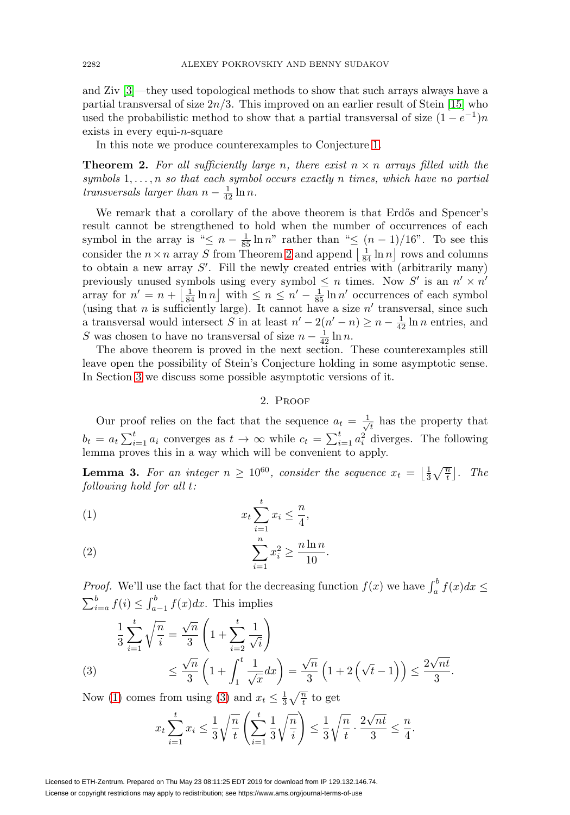and Ziv [\[3\]](#page-6-6)—they used topological methods to show that such arrays always have a partial transversal of size  $2n/3$ . This improved on an earlier result of Stein [\[15\]](#page-6-4) who used the probabilistic method to show that a partial transversal of size  $(1 - e^{-1})n$ exists in every equi- $n$ -square

In this note we produce counterexamples to Conjecture [1.](#page-0-0)

<span id="page-1-0"></span>**Theorem 2.** For all sufficiently large n, there exist  $n \times n$  arrays filled with the symbols  $1, \ldots, n$  so that each symbol occurs exactly n times, which have no partial transversals larger than  $n - \frac{1}{42} \ln n$ .

We remark that a corollary of the above theorem is that Erdős and Spencer's result cannot be strengthened to hold when the number of occurrences of each symbol in the array is " $\leq n - \frac{1}{85} \ln n$ " rather than " $\leq (n - 1)/16$ ". To see this consider the  $n \times n$  array S from Theorem [2](#page-1-0) and append  $\left\lfloor \frac{1}{84} \ln n \right\rfloor$  rows and columns to obtain a new array  $S'$ . Fill the newly created entries with (arbitrarily many) previously unused symbols using every symbol  $\leq n$  times. Now S' is an  $n' \times n'$  array for  $n' = n + \left\lfloor \frac{1}{84} \ln n \right\rfloor$  with  $\leq n \leq n' - \frac{1}{85} \ln n'$  occurrences of each symbol (using that n is sufficiently large). It cannot have a size  $n'$  transversal, since such a transversal would intersect S in at least  $n'-2(n'-n) \geq n-\frac{1}{42} \ln n$  entries, and S was chosen to have no transversal of size  $n - \frac{1}{42} \ln n$ .

The above theorem is proved in the next section. These counterexamples still leave open the possibility of Stein's Conjecture holding in some asymptotic sense. In Section [3](#page-3-0) we discuss some possible asymptotic versions of it.

### 2. Proof

Our proof relies on the fact that the sequence  $a_t = \frac{1}{\sqrt{t}}$  has the property that  $b_t = a_t \sum_{i=1}^t a_i$  converges as  $t \to \infty$  while  $c_t = \sum_{i=1}^t a_i^2$  diverges. The following lemma proves this in a way which will be convenient to apply.

<span id="page-1-4"></span>**Lemma 3.** For an integer  $n \geq 10^{60}$ , consider the sequence  $x_t = \left\lfloor \frac{1}{3} \sqrt{\frac{n}{t}} \right\rfloor$ . The following hold for all t:

<span id="page-1-1"></span>
$$
(1) \t x_t \sum_{i=1}^t x_i \leq \frac{n}{4},
$$

<span id="page-1-3"></span>(2) 
$$
\sum_{i=1}^{n} x_i^2 \ge \frac{n \ln n}{10}.
$$

*Proof.* We'll use the fact that for the decreasing function  $f(x)$  we have  $\int_a^b f(x)dx \le$  $\sum_{i=a}^{b} f(i) \leq \int_{a-1}^{b} f(x) dx$ . This implies

$$
\frac{1}{3} \sum_{i=1}^{t} \sqrt{\frac{n}{i}} = \frac{\sqrt{n}}{3} \left( 1 + \sum_{i=2}^{t} \frac{1}{\sqrt{i}} \right)
$$
\n
$$
\leq \frac{\sqrt{n}}{3} \left( 1 + \int_{1}^{t} \frac{1}{\sqrt{x}} dx \right) = \frac{\sqrt{n}}{3} \left( 1 + 2 \left( \sqrt{t} - 1 \right) \right) \leq \frac{2\sqrt{nt}}{3}.
$$

<span id="page-1-2"></span>Now [\(1\)](#page-1-1) comes from using [\(3\)](#page-1-2) and  $x_t \leq \frac{1}{3}\sqrt{\frac{n}{t}}$  to get

$$
x_t \sum_{i=1}^t x_i \le \frac{1}{3} \sqrt{\frac{n}{t}} \left( \sum_{i=1}^t \frac{1}{3} \sqrt{\frac{n}{i}} \right) \le \frac{1}{3} \sqrt{\frac{n}{t}} \cdot \frac{2\sqrt{nt}}{3} \le \frac{n}{4}.
$$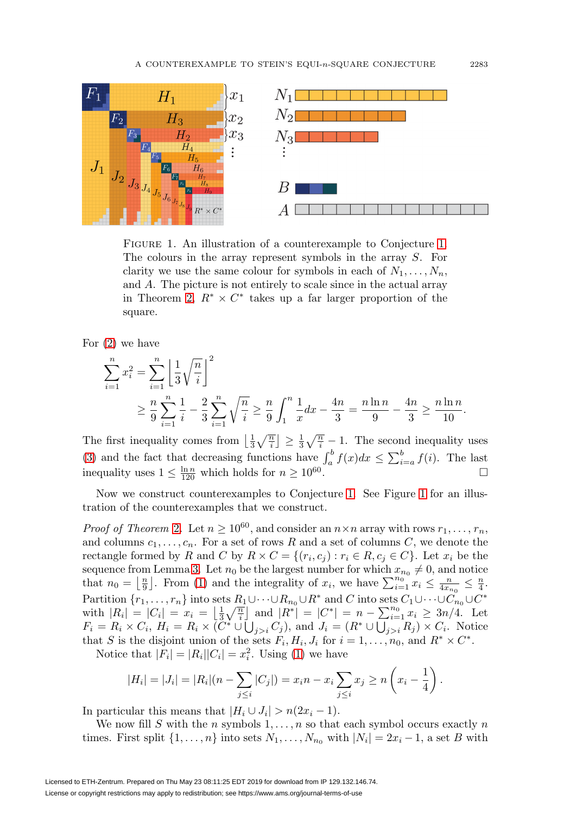

<span id="page-2-0"></span>FIGURE [1.](#page-0-0) An illustration of a counterexample to Conjecture 1. The colours in the array represent symbols in the array S. For clarity we use the same colour for symbols in each of  $N_1, \ldots, N_n$ , and A. The picture is not entirely to scale since in the actual array in Theorem [2,](#page-1-0)  $R^* \times C^*$  takes up a far larger proportion of the square.

For [\(2\)](#page-1-3) we have

$$
\sum_{i=1}^{n} x_i^2 = \sum_{i=1}^{n} \left[ \frac{1}{3} \sqrt{\frac{n}{i}} \right]^2
$$
  
 
$$
\geq \frac{n}{9} \sum_{i=1}^{n} \frac{1}{i} - \frac{2}{3} \sum_{i=1}^{n} \sqrt{\frac{n}{i}} \geq \frac{n}{9} \int_1^n \frac{1}{x} dx - \frac{4n}{3} = \frac{n \ln n}{9} - \frac{4n}{3} \geq \frac{n \ln n}{10}.
$$

The first inequality comes from  $\left\lfloor \frac{1}{3}\sqrt{\frac{n}{i}} \right\rfloor \geq \frac{1}{3}\sqrt{\frac{n}{i}} - 1$ . The second inequality uses [\(3\)](#page-1-2) and the fact that decreasing functions have  $\int_a^b f(x)dx \leq \sum_{i=a}^b f(i)$ . The last inequality uses  $1 \leq \frac{\ln n}{120}$  which holds for  $n \geq 10^{60}$ .

Now we construct counterexamples to Conjecture [1.](#page-0-0) See Figure [1](#page-2-0) for an illustration of the counterexamples that we construct.

*Proof of Theorem [2](#page-1-0).* Let  $n \ge 10^{60}$ , and consider an  $n \times n$  array with rows  $r_1, \ldots, r_n$ , and columns  $c_1, \ldots, c_n$ . For a set of rows R and a set of columns C, we denote the rectangle formed by R and C by  $R \times C = \{(r_i, c_j) : r_i \in R, c_j \in C\}$ . Let  $x_i$  be the sequence from Lemma [3.](#page-1-4) Let  $n_0$  be the largest number for which  $x_{n_0} \neq 0$ , and notice that  $n_0 = \left\lfloor \frac{n}{9} \right\rfloor$ . From [\(1\)](#page-1-1) and the integrality of  $x_i$ , we have  $\sum_{i=1}^{n_0} x_i \leq \frac{n}{4x_{n_0}} \leq \frac{n}{4}$ . Partition  $\{r_1,\ldots,r_n\}$  into sets  $R_1\cup\cdots\cup R_{n_0}\cup R^*$  and  $C$  into sets  $C_1\cup\cdots\cup C_{n_0}\cup C^*$ with  $|R_i| = |C_i| = x_i = \left\lfloor \frac{1}{3} \sqrt{\frac{n}{i}} \right\rfloor$  and  $|R^*| = |C^*| = n - \sum_{i=1}^{n_0} x_i \geq 3n/4$ . Let  $F_i = R_i \times C_i$ ,  $H_i = R_i \times (C^* \cup \bigcup_{j>i} C_j)$ , and  $J_i = (R^* \cup \bigcup_{j>i} R_j) \times C_i$ . Notice that S is the disjoint union of the sets  $F_i, H_i, J_i$  for  $i = 1, \ldots, n_0$ , and  $R^* \times C^*$ .

Notice that  $|F_i| = |R_i||C_i| = x_i^2$ . Using [\(1\)](#page-1-1) we have

$$
|H_i| = |J_i| = |R_i|(n - \sum_{j \leq i} |C_j|) = x_i n - x_i \sum_{j \leq i} x_j \geq n \left( x_i - \frac{1}{4} \right).
$$

In particular this means that  $|H_i \cup J_i| > n(2x_i - 1)$ .

We now fill S with the n symbols  $1, \ldots, n$  so that each symbol occurs exactly n times. First split  $\{1,\ldots,n\}$  into sets  $N_1,\ldots,N_{n_0}$  with  $|N_i|=2x_i-1$ , a set B with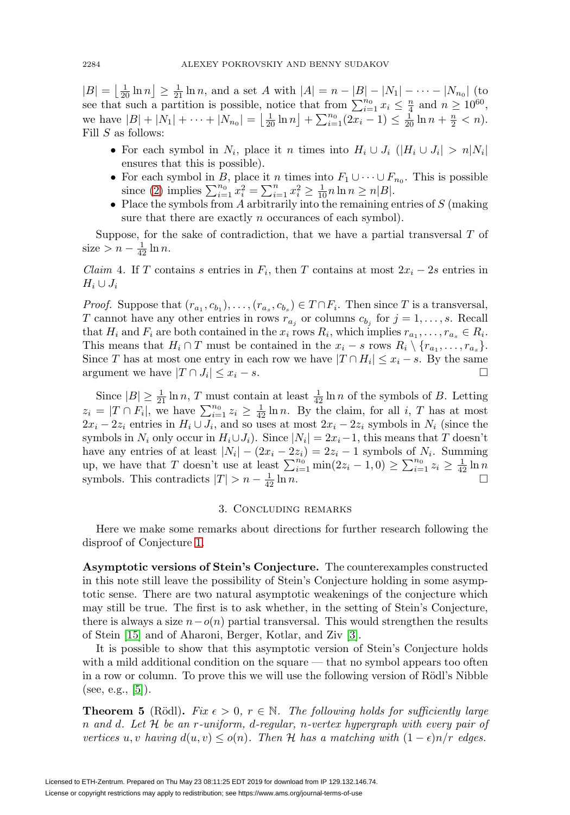$|B| = \left\lfloor \frac{1}{20} \ln n \right\rfloor \ge \frac{1}{21} \ln n$ , and a set A with  $|A| = n - |B| - |N_1| - \cdots - |N_{n_0}|$  (to see that such a partition is possible, notice that from  $\sum_{i=1}^{n_0} x_i \leq \frac{n}{4}$  and  $n \geq 10^{60}$ , we have  $|B| + |N_1| + \cdots + |N_{n_0}| = \left\lfloor \frac{1}{20} \ln n \right\rfloor + \sum_{i=1}^{n_0} (2x_i - 1) \le \frac{1}{20} \ln n + \frac{n}{2} < n$ . Fill  $S$  as follows:

- For each symbol in  $N_i$ , place it n times into  $H_i \cup J_i$  ( $|H_i \cup J_i| > n|N_i|$ ) ensures that this is possible).
- For each symbol in B, place it n times into  $F_1 \cup \cdots \cup F_{n_0}$ . This is possible since [\(2\)](#page-1-3) implies  $\sum_{i=1}^{n_0} x_i^2 = \sum_{i=1}^n x_i^2 \ge \frac{1}{10} n \ln n \ge n |B|$ .
- Place the symbols from A arbitrarily into the remaining entries of  $S$  (making sure that there are exactly *n* occurances of each symbol).

Suppose, for the sake of contradiction, that we have a partial transversal  $T$  of size >  $n - \frac{1}{42} \ln n$ .

*Claim* 4. If T contains s entries in  $F_i$ , then T contains at most  $2x_i - 2s$  entries in  $H_i \cup J_i$ 

*Proof.* Suppose that  $(r_{a_1}, c_{b_1}), \ldots, (r_{a_s}, c_{b_s}) \in T \cap F_i$ . Then since T is a transversal, T cannot have any other entries in rows  $r_{a_i}$  or columns  $c_{b_i}$  for  $j = 1, \ldots, s$ . Recall that  $H_i$  and  $F_i$  are both contained in the  $x_i$  rows  $R_i$ , which implies  $r_{a_1}, \ldots, r_{a_s} \in R_i$ . This means that  $H_i \cap T$  must be contained in the  $x_i - s$  rows  $R_i \setminus \{r_{a_1}, \ldots, r_{a_s}\}.$ Since T has at most one entry in each row we have  $|T \cap H_i| \leq x_i - s$ . By the same argument we have  $|T \cap J_i| \leq x_i - s$ .

Since  $|B| \geq \frac{1}{21} \ln n$ , T must contain at least  $\frac{1}{42} \ln n$  of the symbols of B. Letting  $z_i = |T \cap F_i|$ , we have  $\sum_{i=1}^{n_0} z_i \geq \frac{1}{42} \ln n$ . By the claim, for all i, T has at most  $2x_i - 2z_i$  entries in  $H_i \cup J_i$ , and so uses at most  $2x_i - 2z_i$  symbols in  $N_i$  (since the symbols in  $N_i$  only occur in  $H_i \cup J_i$ . Since  $|N_i| = 2x_i-1$ , this means that T doesn't have any entries of at least  $|N_i| - (2x_i - 2z_i) = 2z_i - 1$  symbols of  $N_i$ . Summing up, we have that T doesn't use at least  $\sum_{i=1}^{n_0} \min(2z_i - 1, 0) \ge \sum_{i=1}^{n_0} z_i \ge \frac{1}{42} \ln n$ symbols. This contradicts  $|T| > n - \frac{1}{42} \ln n$ .

## 3. Concluding remarks

<span id="page-3-0"></span>Here we make some remarks about directions for further research following the disproof of Conjecture [1.](#page-0-0)

**Asymptotic versions of Stein's Conjecture.** The counterexamples constructed in this note still leave the possibility of Stein's Conjecture holding in some asymptotic sense. There are two natural asymptotic weakenings of the conjecture which may still be true. The first is to ask whether, in the setting of Stein's Conjecture, there is always a size  $n-o(n)$  partial transversal. This would strengthen the results of Stein [\[15\]](#page-6-4) and of Aharoni, Berger, Kotlar, and Ziv [\[3\]](#page-6-6).

It is possible to show that this asymptotic version of Stein's Conjecture holds with a mild additional condition on the square — that no symbol appears too often in a row or column. To prove this we will use the following version of Rödl's Nibble (see, e.g.,  $[5]$ ).

<span id="page-3-1"></span>**Theorem 5** (Rödl). Fix  $\epsilon > 0$ ,  $r \in \mathbb{N}$ . The following holds for sufficiently large n and d. Let H be an r-uniform, d-regular, n-vertex hypergraph with every pair of vertices u, v having  $d(u, v) \leq o(n)$ . Then H has a matching with  $(1 - \epsilon)n/r$  edges.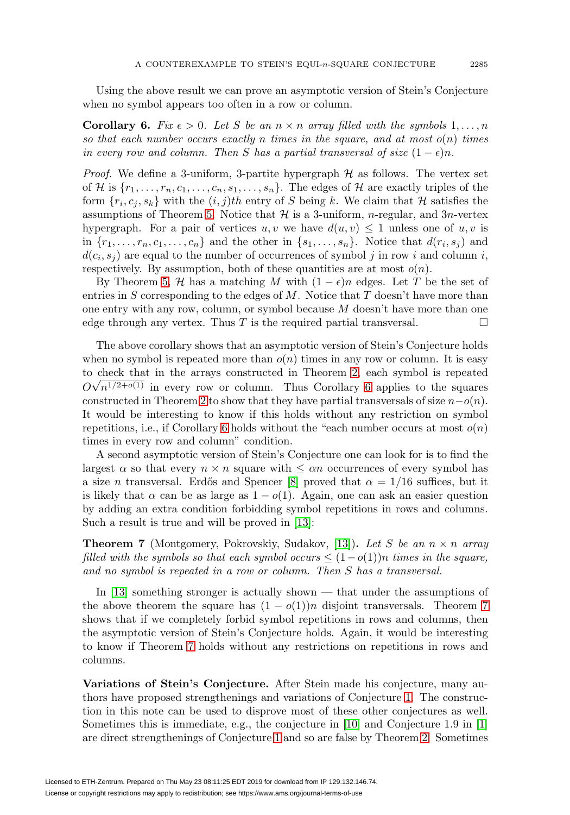Using the above result we can prove an asymptotic version of Stein's Conjecture when no symbol appears too often in a row or column.

<span id="page-4-0"></span>**Corollary 6.** Fix  $\epsilon > 0$ . Let S be an  $n \times n$  array filled with the symbols  $1, \ldots, n$ so that each number occurs exactly n times in the square, and at most  $o(n)$  times in every row and column. Then S has a partial transversal of size  $(1 - \epsilon)n$ .

*Proof.* We define a 3-uniform, 3-partite hypergraph  $H$  as follows. The vertex set of H is  $\{r_1,\ldots,r_n,c_1,\ldots,c_n,s_1,\ldots,s_n\}$ . The edges of H are exactly triples of the form  $\{r_i, c_j, s_k\}$  with the  $(i, j)$ th entry of S being k. We claim that H satisfies the assumptions of Theorem [5.](#page-3-1) Notice that  $\mathcal H$  is a 3-uniform, *n*-regular, and 3*n*-vertex hypergraph. For a pair of vertices  $u, v$  we have  $d(u, v) \leq 1$  unless one of  $u, v$  is in  $\{r_1,\ldots,r_n,c_1,\ldots,c_n\}$  and the other in  $\{s_1,\ldots,s_n\}$ . Notice that  $d(r_i,s_j)$  and  $d(c_i, s_j)$  are equal to the number of occurrences of symbol j in row i and column i, respectively. By assumption, both of these quantities are at most  $o(n)$ .

By Theorem [5,](#page-3-1) H has a matching M with  $(1 - \epsilon)n$  edges. Let T be the set of entries in S corresponding to the edges of  $M$ . Notice that T doesn't have more than one entry with any row, column, or symbol because  $M$  doesn't have more than one edge through any vertex. Thus T is the required partial transversal.  $\Box$ 

The above corollary shows that an asymptotic version of Stein's Conjecture holds when no symbol is repeated more than  $o(n)$  times in any row or column. It is easy to check that in the arrays constructed in Theorem [2,](#page-1-0) each symbol is repeated √  $O\sqrt{n^{1/2+o(1)}}$  in every row or column. Thus Corollary [6](#page-4-0) applies to the squares constructed in Theorem [2](#page-1-0) to show that they have partial transversals of size  $n-o(n)$ . It would be interesting to know if this holds without any restriction on symbol repetitions, i.e., if Corollary [6](#page-4-0) holds without the "each number occurs at most  $o(n)$ " times in every row and column" condition.

A second asymptotic version of Stein's Conjecture one can look for is to find the largest  $\alpha$  so that every  $n \times n$  square with  $\leq \alpha n$  occurrences of every symbol has a size *n* transversal. Erdős and Spencer [\[8\]](#page-6-5) proved that  $\alpha = 1/16$  suffices, but it is likely that  $\alpha$  can be as large as  $1 - o(1)$ . Again, one can ask an easier question by adding an extra condition forbidding symbol repetitions in rows and columns. Such a result is true and will be proved in [\[13\]](#page-6-8):

<span id="page-4-1"></span>**Theorem 7** (Montgomery, Pokrovskiy, Sudakov, [\[13\]](#page-6-8)). Let S be an  $n \times n$  array filled with the symbols so that each symbol occurs  $\leq (1-o(1))n$  times in the square, and no symbol is repeated in a row or column. Then S has a transversal.

In [\[13\]](#page-6-8) something stronger is actually shown — that under the assumptions of the above theorem the square has  $(1 - o(1))n$  disjoint transversals. Theorem [7](#page-4-1) shows that if we completely forbid symbol repetitions in rows and columns, then the asymptotic version of Stein's Conjecture holds. Again, it would be interesting to know if Theorem [7](#page-4-1) holds without any restrictions on repetitions in rows and columns.

**Variations of Stein's Conjecture.** After Stein made his conjecture, many authors have proposed strengthenings and variations of Conjecture [1.](#page-0-0) The construction in this note can be used to disprove most of these other conjectures as well. Sometimes this is immediate, e.g., the conjecture in [\[10\]](#page-6-9) and Conjecture 1.9 in [\[1\]](#page-6-10) are direct strengthenings of Conjecture [1](#page-0-0) and so are false by Theorem [2.](#page-1-0) Sometimes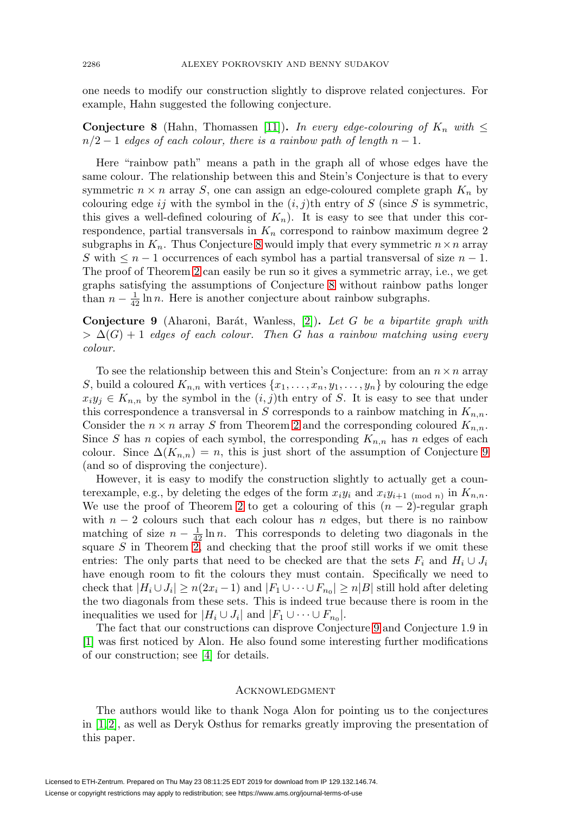one needs to modify our construction slightly to disprove related conjectures. For example, Hahn suggested the following conjecture.

<span id="page-5-0"></span>**Conjecture 8** (Hahn, Thomassen [\[11\]](#page-6-11))**.** In every edge-colouring of  $K_n$  with  $\leq$  $n/2 - 1$  edges of each colour, there is a rainbow path of length  $n - 1$ .

Here "rainbow path" means a path in the graph all of whose edges have the same colour. The relationship between this and Stein's Conjecture is that to every symmetric  $n \times n$  array S, one can assign an edge-coloured complete graph  $K_n$  by colouring edge ij with the symbol in the  $(i, j)$ th entry of S (since S is symmetric, this gives a well-defined colouring of  $K_n$ ). It is easy to see that under this correspondence, partial transversals in  $K_n$  correspond to rainbow maximum degree 2 subgraphs in  $K_n$ . Thus Conjecture [8](#page-5-0) would imply that every symmetric  $n \times n$  array S with  $\leq n-1$  occurrences of each symbol has a partial transversal of size  $n-1$ . The proof of Theorem [2](#page-1-0) can easily be run so it gives a symmetric array, i.e., we get graphs satisfying the assumptions of Conjecture [8](#page-5-0) without rainbow paths longer than  $n - \frac{1}{42} \ln n$ . Here is another conjecture about rainbow subgraphs.

<span id="page-5-1"></span>**Conjecture 9** (Aharoni, Barát, Wanless, [\[2\]](#page-6-12)). Let G be a bipartite graph with  $> \Delta(G)+1$  edges of each colour. Then G has a rainbow matching using every colour.

To see the relationship between this and Stein's Conjecture: from an  $n \times n$  array S, build a coloured  $K_{n,n}$  with vertices  $\{x_1,\ldots,x_n,y_1,\ldots,y_n\}$  by colouring the edge  $x_iy_j \in K_{n,n}$  by the symbol in the  $(i, j)$ th entry of S. It is easy to see that under this correspondence a transversal in S corresponds to a rainbow matching in  $K_{n,n}$ . Consider the  $n \times n$  array S from Theorem [2](#page-1-0) and the corresponding coloured  $K_{n,n}$ . Since S has n copies of each symbol, the corresponding  $K_{n,n}$  has n edges of each colour. Since  $\Delta(K_{n,n}) = n$ , this is just short of the assumption of Conjecture [9](#page-5-1) (and so of disproving the conjecture).

However, it is easy to modify the construction slightly to actually get a counterexample, e.g., by deleting the edges of the form  $x_i y_i$  and  $x_i y_{i+1}$  (mod n) in  $K_{n,n}$ . We use the proof of Theorem [2](#page-1-0) to get a colouring of this  $(n-2)$ -regular graph with  $n-2$  colours such that each colour has n edges, but there is no rainbow matching of size  $n - \frac{1}{42} \ln n$ . This corresponds to deleting two diagonals in the square  $S$  in Theorem [2,](#page-1-0) and checking that the proof still works if we omit these entries: The only parts that need to be checked are that the sets  $F_i$  and  $H_i \cup J_i$ have enough room to fit the colours they must contain. Specifically we need to check that  $|H_i \cup J_i| \ge n(2x_i - 1)$  and  $|F_1 \cup \cdots \cup F_{n_0}| \ge n|B|$  still hold after deleting the two diagonals from these sets. This is indeed true because there is room in the inequalities we used for  $|H_i \cup J_i|$  and  $|F_1 \cup \cdots \cup F_{n_0}|$ .

The fact that our constructions can disprove Conjecture [9](#page-5-1) and Conjecture 1.9 in [\[1\]](#page-6-10) was first noticed by Alon. He also found some interesting further modifications of our construction; see [\[4\]](#page-6-13) for details.

### **ACKNOWLEDGMENT**

The authors would like to thank Noga Alon for pointing us to the conjectures in [\[1,](#page-6-10) [2\]](#page-6-12), as well as Deryk Osthus for remarks greatly improving the presentation of this paper.